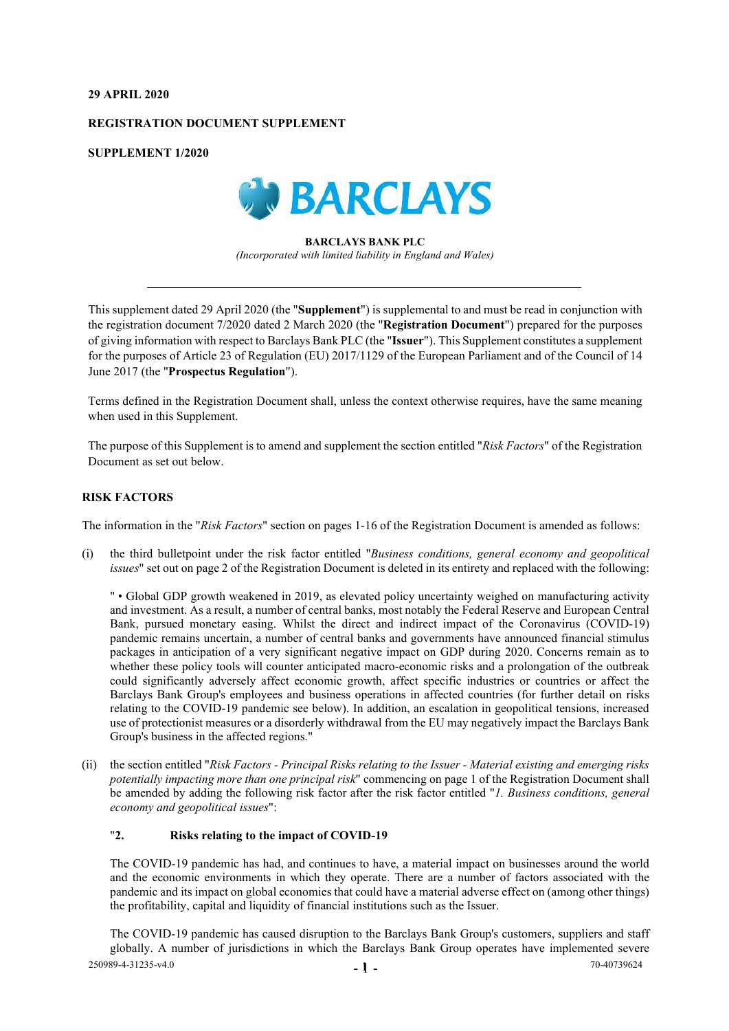## **29 APRIL 2020**

## **REGISTRATION DOCUMENT SUPPLEMENT**

**SUPPLEMENT 1/2020**



**BARCLAYS BANK PLC** *(Incorporated with limited liability in England and Wales)*

This supplement dated 29 April 2020 (the "**Supplement**") is supplemental to and must be read in conjunction with the registration document 7/2020 dated 2 March 2020 (the "**Registration Document**") prepared for the purposes of giving information with respect to Barclays Bank PLC (the "**Issuer**"). This Supplement constitutes a supplement for the purposes of Article 23 of Regulation (EU) 2017/1129 of the European Parliament and of the Council of 14 June 2017 (the "**Prospectus Regulation**").

Terms defined in the Registration Document shall, unless the context otherwise requires, have the same meaning when used in this Supplement.

The purpose of this Supplement is to amend and supplement the section entitled "*Risk Factors*" of the Registration Document as set out below.

## **RISK FACTORS**

The information in the "*Risk Factors*" section on pages 1-16 of the Registration Document is amended as follows:

(i) the third bulletpoint under the risk factor entitled "*Business conditions, general economy and geopolitical issues*" set out on page 2 of the Registration Document is deleted in its entirety and replaced with the following:

" • Global GDP growth weakened in 2019, as elevated policy uncertainty weighed on manufacturing activity and investment. As a result, a number of central banks, most notably the Federal Reserve and European Central Bank, pursued monetary easing. Whilst the direct and indirect impact of the Coronavirus (COVID-19) pandemic remains uncertain, a number of central banks and governments have announced financial stimulus packages in anticipation of a very significant negative impact on GDP during 2020. Concerns remain as to whether these policy tools will counter anticipated macro-economic risks and a prolongation of the outbreak could significantly adversely affect economic growth, affect specific industries or countries or affect the Barclays Bank Group's employees and business operations in affected countries (for further detail on risks relating to the COVID-19 pandemic see below). In addition, an escalation in geopolitical tensions, increased use of protectionist measures or a disorderly withdrawal from the EU may negatively impact the Barclays Bank Group's business in the affected regions."

(ii) the section entitled "*Risk Factors - Principal Risks relating to the Issuer - Material existing and emerging risks potentially impacting more than one principal risk*" commencing on page 1 of the Registration Document shall be amended by adding the following risk factor after the risk factor entitled "*1. Business conditions, general economy and geopolitical issues*":

## "**2. Risks relating to the impact of COVID-19**

The COVID-19 pandemic has had, and continues to have, a material impact on businesses around the world and the economic environments in which they operate. There are a number of factors associated with the pandemic and its impact on global economies that could have a material adverse effect on (among other things) the profitability, capital and liquidity of financial institutions such as the Issuer.

 $-1$  -  $-$  70-40739624 The COVID-19 pandemic has caused disruption to the Barclays Bank Group's customers, suppliers and staff globally. A number of jurisdictions in which the Barclays Bank Group operates have implemented severe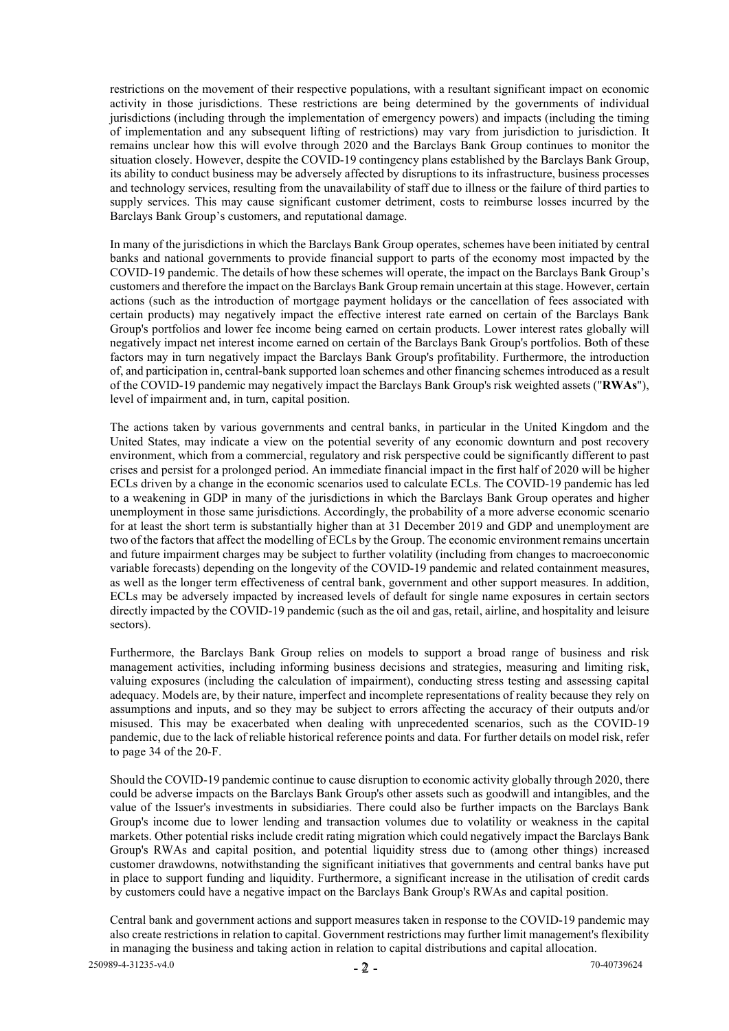restrictions on the movement of their respective populations, with a resultant significant impact on economic activity in those jurisdictions. These restrictions are being determined by the governments of individual jurisdictions (including through the implementation of emergency powers) and impacts (including the timing of implementation and any subsequent lifting of restrictions) may vary from jurisdiction to jurisdiction. It remains unclear how this will evolve through 2020 and the Barclays Bank Group continues to monitor the situation closely. However, despite the COVID-19 contingency plans established by the Barclays Bank Group, its ability to conduct business may be adversely affected by disruptions to its infrastructure, business processes and technology services, resulting from the unavailability of staff due to illness or the failure of third parties to supply services. This may cause significant customer detriment, costs to reimburse losses incurred by the Barclays Bank Group's customers, and reputational damage.

In many of the jurisdictions in which the Barclays Bank Group operates, schemes have been initiated by central banks and national governments to provide financial support to parts of the economy most impacted by the COVID-19 pandemic. The details of how these schemes will operate, the impact on the Barclays Bank Group's customers and therefore the impact on the Barclays Bank Group remain uncertain at this stage. However, certain actions (such as the introduction of mortgage payment holidays or the cancellation of fees associated with certain products) may negatively impact the effective interest rate earned on certain of the Barclays Bank Group's portfolios and lower fee income being earned on certain products. Lower interest rates globally will negatively impact net interest income earned on certain of the Barclays Bank Group's portfolios. Both of these factors may in turn negatively impact the Barclays Bank Group's profitability. Furthermore, the introduction of, and participation in, central-bank supported loan schemes and other financing schemes introduced as a result of the COVID-19 pandemic may negatively impact the Barclays Bank Group's risk weighted assets ("**RWAs**"), level of impairment and, in turn, capital position.

The actions taken by various governments and central banks, in particular in the United Kingdom and the United States, may indicate a view on the potential severity of any economic downturn and post recovery environment, which from a commercial, regulatory and risk perspective could be significantly different to past crises and persist for a prolonged period. An immediate financial impact in the first half of 2020 will be higher ECLs driven by a change in the economic scenarios used to calculate ECLs. The COVID-19 pandemic has led to a weakening in GDP in many of the jurisdictions in which the Barclays Bank Group operates and higher unemployment in those same jurisdictions. Accordingly, the probability of a more adverse economic scenario for at least the short term is substantially higher than at 31 December 2019 and GDP and unemployment are two of the factors that affect the modelling of ECLs by the Group. The economic environment remains uncertain and future impairment charges may be subject to further volatility (including from changes to macroeconomic variable forecasts) depending on the longevity of the COVID-19 pandemic and related containment measures, as well as the longer term effectiveness of central bank, government and other support measures. In addition, ECLs may be adversely impacted by increased levels of default for single name exposures in certain sectors directly impacted by the COVID-19 pandemic (such as the oil and gas, retail, airline, and hospitality and leisure sectors).

Furthermore, the Barclays Bank Group relies on models to support a broad range of business and risk management activities, including informing business decisions and strategies, measuring and limiting risk, valuing exposures (including the calculation of impairment), conducting stress testing and assessing capital adequacy. Models are, by their nature, imperfect and incomplete representations of reality because they rely on assumptions and inputs, and so they may be subject to errors affecting the accuracy of their outputs and/or misused. This may be exacerbated when dealing with unprecedented scenarios, such as the COVID-19 pandemic, due to the lack of reliable historical reference points and data. For further details on model risk, refer to page 34 of the 20-F.

Should the COVID-19 pandemic continue to cause disruption to economic activity globally through 2020, there could be adverse impacts on the Barclays Bank Group's other assets such as goodwill and intangibles, and the value of the Issuer's investments in subsidiaries. There could also be further impacts on the Barclays Bank Group's income due to lower lending and transaction volumes due to volatility or weakness in the capital markets. Other potential risks include credit rating migration which could negatively impact the Barclays Bank Group's RWAs and capital position, and potential liquidity stress due to (among other things) increased customer drawdowns, notwithstanding the significant initiatives that governments and central banks have put in place to support funding and liquidity. Furthermore, a significant increase in the utilisation of credit cards by customers could have a negative impact on the Barclays Bank Group's RWAs and capital position.

Central bank and government actions and support measures taken in response to the COVID-19 pandemic may also create restrictions in relation to capital. Government restrictions may further limit management's flexibility in managing the business and taking action in relation to capital distributions and capital allocation.

 $-2$  - 250989-4-31235-v4.0  $-2$  - 70-40739624